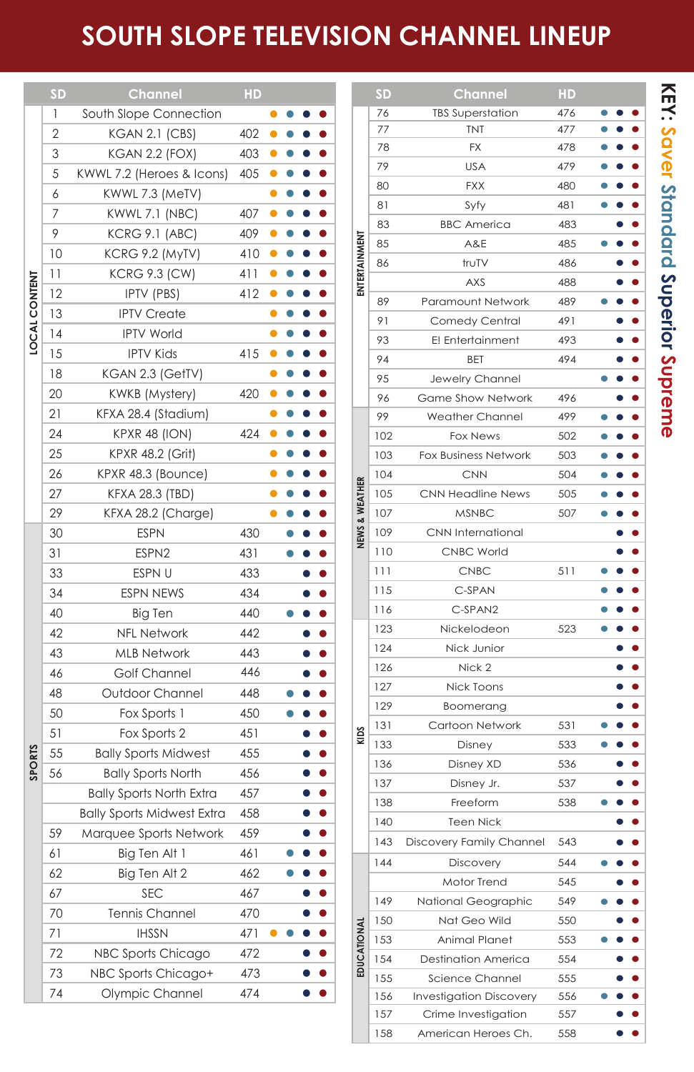## **SOUTH SLOPE TELEVISION CHANNEL LINEUP**

|                      | <b>SD</b>      | Channel                           | HD         |   |  |                    |  |                    | <b>SD</b>  | Channel                                     | HD         |  |                               |
|----------------------|----------------|-----------------------------------|------------|---|--|--------------------|--|--------------------|------------|---------------------------------------------|------------|--|-------------------------------|
|                      | $\mathbf{1}$   | South Slope Connection            |            |   |  |                    |  |                    | 76         | <b>TBS Superstation</b>                     | 476        |  |                               |
|                      | $\overline{2}$ | <b>KGAN 2.1 (CBS)</b>             | 402        | Ο |  | ٠                  |  |                    | 77         | <b>TNT</b>                                  | 477        |  |                               |
|                      | 3              | <b>KGAN 2.2 (FOX)</b>             | 403        |   |  |                    |  |                    | 78         | FX                                          | 478        |  |                               |
|                      | 5              | KWWL 7.2 (Heroes & Icons)         | 405        |   |  |                    |  |                    | 79         | <b>USA</b>                                  | 479        |  |                               |
|                      | 6              | KWWL 7.3 (MeTV)                   |            |   |  |                    |  |                    | 80         | <b>FXX</b>                                  | 480        |  |                               |
| <b>LOCAL CONTENT</b> | 7              | <b>KWWL 7.1 (NBC)</b>             | 407        |   |  |                    |  |                    | 81         | Syfy                                        | 481        |  |                               |
|                      | 9              | KCRG 9.1 (ABC)                    | 409        |   |  |                    |  |                    | 83         | <b>BBC</b> America                          | 483        |  |                               |
|                      | 10             | KCRG 9.2 (MyTV)                   | 410        |   |  |                    |  |                    | 85         | A&E                                         | 485        |  |                               |
|                      | 11             | <b>KCRG 9.3 (CW)</b>              | 411        |   |  |                    |  | ENTERTAINMENT      | 86         | truTV                                       | 486        |  |                               |
|                      | 12             | <b>IPTV (PBS)</b>                 | 412        |   |  |                    |  |                    |            | <b>AXS</b>                                  | 488        |  |                               |
|                      | 13             | <b>IPTV</b> Create                |            |   |  | ٠                  |  |                    | 89         | Paramount Network                           | 489        |  |                               |
|                      | 14             | <b>IPTV World</b>                 |            |   |  | ٠                  |  |                    | 91         | Comedy Central                              | 491        |  |                               |
|                      | 15             | <b>IPTV Kids</b>                  | 415        |   |  |                    |  |                    | 93         | E! Entertainment                            | 493        |  |                               |
|                      | 18             | KGAN 2.3 (GetTV)                  |            |   |  | ٠                  |  |                    | 94<br>95   | <b>BET</b>                                  | 494        |  |                               |
|                      | 20             | KWKB (Mystery)                    | 420        |   |  |                    |  | NEWS & WEATHER     | 96         | Jewelry Channel<br><b>Game Show Network</b> | 496        |  |                               |
|                      | 21             | KFXA 28.4 (Stadium)               |            |   |  |                    |  |                    | 99         | <b>Weather Channel</b>                      | 499        |  |                               |
|                      | 24             | <b>KPXR 48 (ION)</b>              | 424        |   |  |                    |  |                    | 102        | <b>Fox News</b>                             | 502        |  |                               |
|                      | 25             | <b>KPXR 48.2 (Grit)</b>           |            |   |  |                    |  |                    | 103        | <b>Fox Business Network</b>                 | 503        |  |                               |
|                      | 26             | KPXR 48.3 (Bounce)                |            |   |  |                    |  |                    | 104        | <b>CNN</b>                                  | 504        |  |                               |
|                      | 27             | <b>KFXA 28.3 (TBD)</b>            |            |   |  | O                  |  |                    | 105        | <b>CNN Headline News</b>                    | 505        |  |                               |
|                      | 29             | KFXA 28.2 (Charge)                |            |   |  |                    |  |                    | 107        | <b>MSNBC</b>                                | 507        |  |                               |
|                      | 30             | <b>ESPN</b>                       | 430        |   |  | $\bullet$          |  |                    | 109        | CNN International                           |            |  |                               |
|                      | 31             | ESPN <sub>2</sub>                 | 431        |   |  | $\bullet$          |  |                    | 110        | <b>CNBC World</b>                           |            |  |                               |
|                      | 33             | ESPN U                            | 433        |   |  |                    |  |                    | 111        | <b>CNBC</b>                                 | 511        |  |                               |
|                      | 34             | <b>ESPN NEWS</b>                  | 434        |   |  | O                  |  |                    | 115        | C-SPAN                                      |            |  |                               |
|                      | 40             | Big Ten                           | 440        |   |  |                    |  |                    | 116        | C-SPAN2                                     |            |  |                               |
|                      | 42             | <b>NFL Network</b>                | 442        |   |  |                    |  |                    | 123        | Nickelodeon                                 | 523        |  |                               |
|                      | 43             | <b>MLB Network</b>                | 443        |   |  |                    |  |                    | 124        | Nick Junior                                 |            |  |                               |
|                      | 46             | Golf Channel                      | 446        |   |  |                    |  |                    | 126        | Nick 2                                      |            |  |                               |
|                      | 48             | Outdoor Channel                   | 448        |   |  |                    |  |                    | 127        | Nick Toons                                  |            |  |                               |
|                      | 50             | Fox Sports 1                      | 450        |   |  |                    |  |                    | 129        | Boomerang                                   |            |  |                               |
|                      | 51             | Fox Sports 2                      | 451        |   |  | $\bullet$          |  | KIDS               | 131        | Cartoon Network                             | 531        |  |                               |
| <b>SPORTS</b>        | 55             | <b>Bally Sports Midwest</b>       | 455        |   |  | $\bullet$          |  |                    | 133        | Disney                                      | 533        |  |                               |
|                      | 56             | <b>Bally Sports North</b>         | 456        |   |  |                    |  |                    | 136        | Disney XD                                   | 536        |  |                               |
|                      |                | <b>Bally Sports North Extra</b>   | 457        |   |  |                    |  |                    | 137        | Disney Jr.                                  | 537        |  |                               |
|                      |                | <b>Bally Sports Midwest Extra</b> | 458        |   |  |                    |  |                    | 138        | Freeform                                    | 538        |  |                               |
|                      | 59             | Marquee Sports Network            | 459        |   |  |                    |  |                    | 140        | <b>Teen Nick</b>                            |            |  |                               |
|                      | 61             | Big Ten Alt 1                     | 461        |   |  |                    |  |                    | 143        | Discovery Family Channel                    | 543        |  |                               |
|                      | 62             | Big Ten Alt 2                     | 462        |   |  |                    |  |                    | 144        | Discovery                                   | 544        |  |                               |
|                      | 67             | <b>SEC</b>                        | 467        |   |  |                    |  |                    |            | Motor Trend                                 | 545        |  | $\bullet$                     |
|                      | 70             | Tennis Channel                    | 470        |   |  |                    |  |                    | 149        | National Geographic                         | 549        |  | $\bullet$                     |
|                      | 71             | <b>IHSSN</b>                      |            |   |  | $\bullet$          |  |                    | 150        | Nat Geo Wild                                | 550        |  |                               |
|                      | 72             | NBC Sports Chicago                | 471<br>472 |   |  | $\bullet$          |  | <b>EDUCATIONAL</b> | 153        | Animal Planet                               | 553        |  | $\bullet$                     |
|                      | 73             | NBC Sports Chicago+               | 473        |   |  | $\bullet$          |  |                    | 154        | Destination America                         | 554        |  |                               |
|                      | 74             | Olympic Channel                   | 474        |   |  | $\bullet\;\bullet$ |  |                    | 155        | Science Channel                             | 555        |  | $\bullet$                     |
|                      |                |                                   |            |   |  |                    |  |                    | 156        | <b>Investigation Discovery</b>              | 556        |  | $\bullet$ $\bullet$           |
|                      |                |                                   |            |   |  |                    |  |                    | 157<br>158 | Crime Investigation<br>American Heroes Ch.  | 557<br>558 |  | $\bullet\hspace{1ex} \bullet$ |
|                      |                |                                   |            |   |  |                    |  |                    |            |                                             |            |  |                               |

American Heroes Ch. 558 **••**